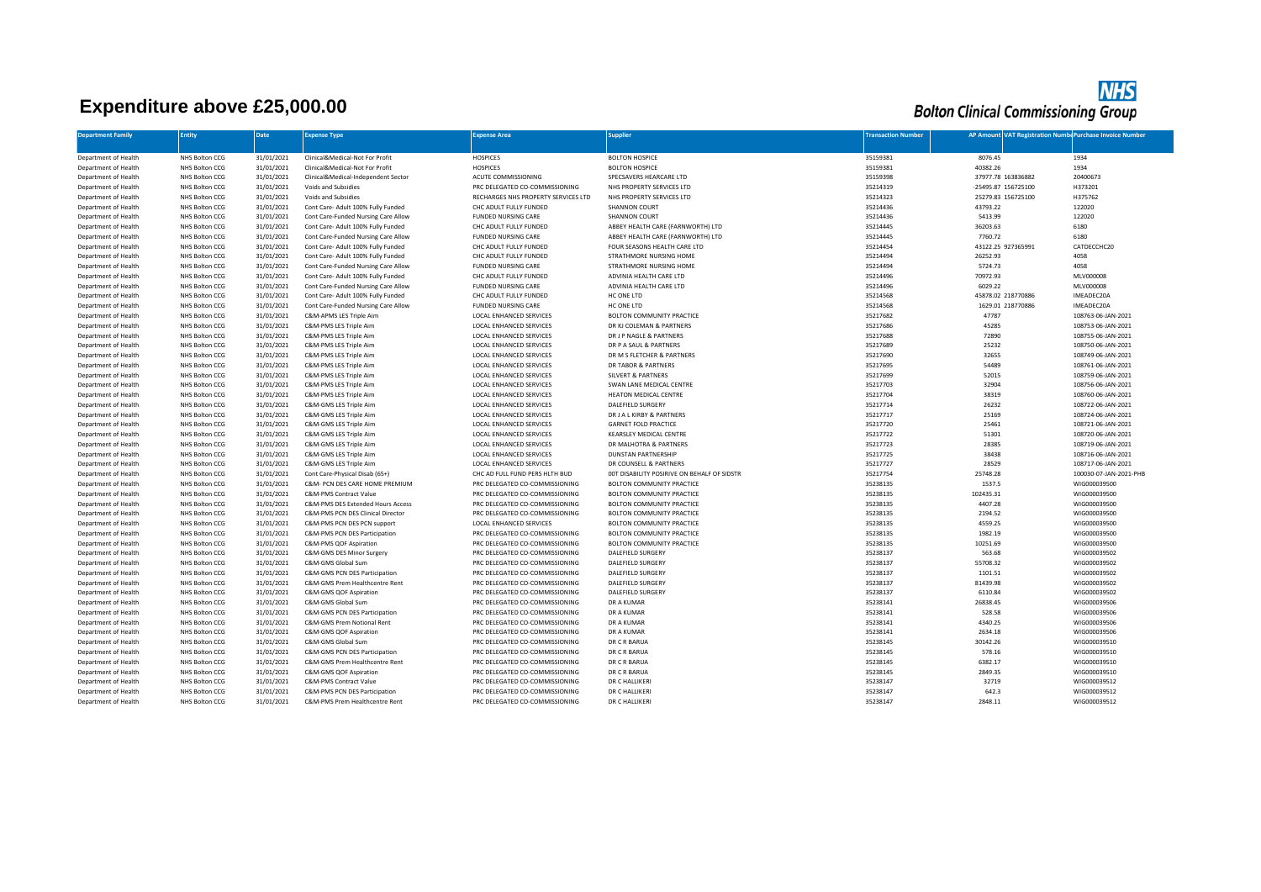## **Expenditure above £25,000.00**

**NHS**<br>Bolton Clinical Commissioning Group

| <b>Department Family</b> | <b>Entity</b>  | <b>Date</b> | <b>Expense Type</b>                 | <b>Expense Area</b>                 | <b>Supplier</b>                             | <b>Transaction Number</b> | AP Amount VAT Registration Number Purchase Invoice Number |                        |
|--------------------------|----------------|-------------|-------------------------------------|-------------------------------------|---------------------------------------------|---------------------------|-----------------------------------------------------------|------------------------|
|                          |                |             |                                     |                                     |                                             |                           |                                                           |                        |
| Department of Health     | NHS Bolton CCG | 31/01/2021  | Clinical&Medical-Not For Profit     | <b>HOSPICES</b>                     | <b>BOLTON HOSPICE</b>                       | 35159381                  | 8076.45                                                   | 1934                   |
| Department of Health     | NHS Bolton CCG | 31/01/2021  | Clinical&Medical-Not For Profit     | <b>HOSPICES</b>                     | <b>BOLTON HOSPICE</b>                       | 35159381                  | 40382.26                                                  | 1934                   |
| Department of Health     | NHS Bolton CCG | 31/01/2021  | Clinical&Medical-Independent Sector | ACUTE COMMISSIONING                 | SPECSAVERS HEARCARE LTD                     | 35159398                  | 37977.78 163836882                                        | 20400673               |
| Department of Health     | NHS Bolton CCG | 31/01/2021  | Voids and Subsidies                 | PRC DELEGATED CO-COMMISSIONING      | NHS PROPERTY SERVICES LTD                   | 35214319                  | -25495.87 156725100                                       | H373201                |
| Department of Health     | NHS Bolton CCG | 31/01/2021  | Voids and Subsidies                 | RECHARGES NHS PROPERTY SERVICES LTD | NHS PROPERTY SERVICES LTD                   | 35214323                  | 25279.83 156725100                                        | H375762                |
| Department of Health     | NHS Bolton CCG | 31/01/2021  | Cont Care- Adult 100% Fully Funded  | CHC ADULT FULLY FUNDED              | <b>SHANNON COURT</b>                        | 35214436                  | 43793.22                                                  | 122020                 |
| Department of Health     | NHS Bolton CCG | 31/01/2021  | Cont Care-Funded Nursing Care Allow | <b>FUNDED NURSING CARE</b>          | SHANNON COURT                               | 35214436                  | 5413.99                                                   | 122020                 |
| Department of Health     | NHS Bolton CCG | 31/01/2021  | Cont Care- Adult 100% Fully Funded  | CHC ADULT FULLY FUNDED              | ABBEY HEALTH CARE (FARNWORTH) LTD           | 35214445                  | 36203.63                                                  | 6180                   |
| Department of Health     | NHS Bolton CCG | 31/01/2021  | Cont Care-Funded Nursing Care Allow | <b>FUNDED NURSING CARE</b>          | ABBEY HEALTH CARE (FARNWORTH) LTD           | 35214445                  | 7760.72                                                   | 6180                   |
| Department of Health     | NHS Bolton CCG | 31/01/2021  | Cont Care- Adult 100% Fully Funded  | CHC ADULT FULLY FUNDED              | FOUR SEASONS HEALTH CARE LTD                | 35214454                  | 43122.25 927365991                                        | CATDECCHC20            |
| Department of Health     | NHS Bolton CCG | 31/01/2021  | Cont Care- Adult 100% Fully Funded  | CHC ADULT FULLY FUNDED              | STRATHMORE NURSING HOME                     | 35214494                  | 26252.93                                                  | 4058                   |
| Department of Health     | NHS Bolton CCG | 31/01/2021  | Cont Care-Funded Nursing Care Allow | <b>FUNDED NURSING CARE</b>          | STRATHMORE NURSING HOME                     | 35214494                  | 5724.73                                                   | 4058                   |
| Department of Health     | NHS Bolton CCG | 31/01/2021  | Cont Care- Adult 100% Fully Funded  | CHC ADULT FULLY FUNDED              | ADVINIA HEALTH CARE LTD                     | 35214496                  | 70972.93                                                  | MLV000008              |
| Department of Health     | NHS Bolton CCG | 31/01/2021  | Cont Care-Funded Nursing Care Allow | <b>FUNDED NURSING CARE</b>          | ADVINIA HEALTH CARE LTD                     | 35214496                  | 6029.22                                                   | MLV000008              |
| Department of Health     | NHS Bolton CCG | 31/01/2021  | Cont Care- Adult 100% Fully Funded  | CHC ADULT FULLY FUNDED              | HC ONE LTD                                  | 35214568                  | 45878.02 218770886                                        | IMEADEC20A             |
| Department of Health     | NHS Bolton CCG | 31/01/2021  | Cont Care-Funded Nursing Care Allow | <b>FUNDED NURSING CARE</b>          | HC ONE LTD                                  | 35214568                  | 1629.01 218770886                                         | IMEADEC20A             |
| Department of Health     | NHS Bolton CCG | 31/01/2021  | C&M-APMS LES Triple Aim             | LOCAL ENHANCED SERVICES             | BOLTON COMMUNITY PRACTICE                   | 35217682                  | 47787                                                     | 108763-06-JAN-2021     |
| Department of Health     | NHS Bolton CCG | 31/01/2021  | C&M-PMS LES Triple Aim              | LOCAL ENHANCED SERVICES             | DR KJ COLEMAN & PARTNERS                    | 35217686                  | 45285                                                     | 108753-06-JAN-2021     |
| Department of Health     | NHS Bolton CCG | 31/01/2021  | C&M-PMS LES Triple Aim              | LOCAL ENHANCED SERVICES             | DR J P NAGLE & PARTNERS                     | 35217688                  | 72890                                                     | 108755-06-JAN-2021     |
| Department of Health     | NHS Bolton CCG | 31/01/2021  | C&M-PMS LES Triple Aim              | LOCAL ENHANCED SERVICES             | DR P A SAUL & PARTNERS                      | 35217689                  | 25232                                                     | 108750-06-JAN-2021     |
| Department of Health     | NHS Bolton CCG | 31/01/2021  | C&M-PMS LES Triple Aim              | LOCAL ENHANCED SERVICES             | DR M S FLETCHER & PARTNERS                  | 35217690                  | 32655                                                     | 108749-06-JAN-2021     |
| Department of Health     | NHS Bolton CCG | 31/01/2021  | C&M-PMS LES Triple Aim              | LOCAL ENHANCED SERVICES             | DR TABOR & PARTNERS                         | 35217695                  | 54489                                                     | 108761-06-JAN-2021     |
| Department of Health     | NHS Bolton CCG | 31/01/2021  | C&M-PMS LES Triple Aim              | LOCAL ENHANCED SERVICES             | <b>SILVERT &amp; PARTNERS</b>               | 35217699                  | 52015                                                     | 108759-06-JAN-2021     |
| Department of Health     | NHS Bolton CCG | 31/01/2021  | C&M-PMS LES Triple Aim              | LOCAL ENHANCED SERVICES             | SWAN LANE MEDICAL CENTRE                    | 35217703                  | 32904                                                     | 108756-06-JAN-2021     |
| Department of Health     | NHS Bolton CCG | 31/01/2021  | C&M-PMS LES Triple Aim              | LOCAL ENHANCED SERVICES             | <b>HEATON MEDICAL CENTRE</b>                | 35217704                  | 38319                                                     | 108760-06-JAN-2021     |
| Department of Health     | NHS Bolton CCG | 31/01/2021  | C&M-GMS LES Triple Aim              | LOCAL ENHANCED SERVICES             | DALEFIELD SURGERY                           | 35217714                  | 26232                                                     | 108722-06-JAN-2021     |
| Department of Health     | NHS Bolton CCG | 31/01/2021  | C&M-GMS LES Triple Aim              | LOCAL ENHANCED SERVICES             | DR J A L KIRBY & PARTNERS                   | 35217717                  | 25169                                                     | 108724-06-JAN-2021     |
| Department of Health     | NHS Bolton CCG | 31/01/2021  | C&M-GMS LES Triple Aim              | LOCAL ENHANCED SERVICES             | <b>GARNET FOLD PRACTICE</b>                 | 35217720                  | 25461                                                     | 108721-06-JAN-2021     |
| Department of Health     | NHS Bolton CCG | 31/01/2021  | C&M-GMS LES Triple Aim              | LOCAL ENHANCED SERVICES             | KEARSLEY MEDICAL CENTRE                     | 35217722                  | 51301                                                     | 108720-06-JAN-2021     |
| Department of Health     | NHS Bolton CCG | 31/01/2021  | C&M-GMS LES Triple Aim              | LOCAL ENHANCED SERVICES             | DR MALHOTRA & PARTNERS                      | 35217723                  | 28385                                                     | 108719-06-JAN-2021     |
| Department of Health     | NHS Bolton CCG | 31/01/2021  | C&M-GMS LES Triple Aim              | LOCAL ENHANCED SERVICES             | <b>DUNSTAN PARTNERSHIP</b>                  | 35217725                  | 38438                                                     | 108716-06-JAN-2021     |
| Department of Health     | NHS Bolton CCG | 31/01/2021  | C&M-GMS LES Triple Aim              | LOCAL ENHANCED SERVICES             | DR COUNSELL & PARTNERS                      | 35217727                  | 28529                                                     | 108717-06-JAN-2021     |
| Department of Health     | NHS Bolton CCG | 31/01/2021  | Cont Care-Physical Disab (65+)      | CHC AD FULL FUND PERS HLTH BUD      | 00T DISABILITY POSIRIVE ON BEHALF OF SIDSTR | 35217754                  | 25748.28                                                  | 100030-07-JAN-2021-PHB |
| Department of Health     | NHS Bolton CCG | 31/01/2021  | C&M- PCN DES CARE HOME PREMIUM      | PRC DELEGATED CO-COMMISSIONING      | BOLTON COMMUNITY PRACTICE                   | 35238135                  | 1537.5                                                    | WIG000039500           |
| Department of Health     | NHS Bolton CCG | 31/01/2021  | C&M-PMS Contract Value              | PRC DELEGATED CO-COMMISSIONING      | BOLTON COMMUNITY PRACTICE                   | 35238135                  | 102435.31                                                 | WIG000039500           |
| Department of Health     | NHS Bolton CCG | 31/01/2021  | C&M-PMS DES Extended Hours Access   | PRC DELEGATED CO-COMMISSIONING      | BOLTON COMMUNITY PRACTICE                   | 35238135                  | 4407.28                                                   | WIG000039500           |
| Department of Health     | NHS Bolton CCG | 31/01/2021  | C&M-PMS PCN DES Clinical Director   | PRC DELEGATED CO-COMMISSIONING      | BOLTON COMMUNITY PRACTICE                   | 35238135                  | 2194.52                                                   | WIG000039500           |
| Department of Health     | NHS Bolton CCG | 31/01/2021  | C&M-PMS PCN DES PCN support         | LOCAL ENHANCED SERVICES             | BOLTON COMMUNITY PRACTICE                   | 35238135                  | 4559.25                                                   | WIG000039500           |
| Department of Health     | NHS Bolton CCG | 31/01/2021  | C&M-PMS PCN DES Participation       | PRC DELEGATED CO-COMMISSIONING      | BOLTON COMMUNITY PRACTICE                   | 35238135                  | 1982.19                                                   | WIG000039500           |
| Department of Health     | NHS Bolton CCG | 31/01/2021  | C&M-PMS QOF Aspiration              | PRC DELEGATED CO-COMMISSIONING      | <b>BOLTON COMMUNITY PRACTICE</b>            | 35238135                  | 10251.69                                                  | WIG000039500           |
| Department of Health     | NHS Bolton CCG | 31/01/2021  | C&M-GMS DES Minor Surgery           | PRC DELEGATED CO-COMMISSIONING      | DALEFIELD SURGERY                           | 35238137                  | 563.68                                                    | WIG000039502           |
| Department of Health     | NHS Bolton CCG | 31/01/2021  | C&M-GMS Global Sum                  | PRC DELEGATED CO-COMMISSIONING      | DALEFIELD SURGERY                           | 35238137                  | 55708.32                                                  | WIG000039502           |
| Department of Health     | NHS Bolton CCG | 31/01/2021  | C&M-GMS PCN DES Participation       | PRC DELEGATED CO-COMMISSIONING      | DALEFIELD SURGERY                           | 35238137                  | 1101.51                                                   | WIG000039502           |
| Department of Health     | NHS Bolton CCG | 31/01/2021  | C&M-GMS Prem Healthcentre Rent      | PRC DELEGATED CO-COMMISSIONING      | DALEFIELD SURGERY                           | 35238137                  | 81439.98                                                  | WIG000039502           |
| Department of Health     | NHS Bolton CCG | 31/01/2021  | C&M-GMS QOF Aspiration              | PRC DELEGATED CO-COMMISSIONING      | <b>DALEFIELD SURGERY</b>                    | 35238137                  | 6110.84                                                   | WIG000039502           |
| Department of Health     | NHS Bolton CCG | 31/01/2021  | C&M-GMS Global Sum                  | PRC DELEGATED CO-COMMISSIONING      | DR A KUMAR                                  | 35238141                  | 26838.45                                                  | WIG000039506           |
| Department of Health     | NHS Bolton CCG | 31/01/2021  | C&M-GMS PCN DES Participation       | PRC DELEGATED CO-COMMISSIONING      | DR A KUMAR                                  | 35238141                  | 528.58                                                    | WIG000039506           |
| Department of Health     | NHS Bolton CCG | 31/01/2021  | C&M-GMS Prem Notional Rent          | PRC DELEGATED CO-COMMISSIONING      | DR A KUMAR                                  | 35238141                  | 4340.25                                                   | WIG000039506           |
| Department of Health     | NHS Bolton CCG | 31/01/2021  | C&M-GMS QOF Aspiration              | PRC DELEGATED CO-COMMISSIONING      | DR A KUMAR                                  | 35238141                  | 2634.18                                                   | WIG000039506           |
| Department of Health     | NHS Bolton CCG | 31/01/2021  | C&M-GMS Global Sum                  | PRC DELEGATED CO-COMMISSIONING      | DR C R BARUA                                | 35238145                  | 30142.26                                                  | WIG000039510           |
| Department of Health     | NHS Bolton CCG | 31/01/2021  | C&M-GMS PCN DES Participation       | PRC DELEGATED CO-COMMISSIONING      | DR C R BARUA                                | 35238145                  | 578.16                                                    | WIG000039510           |
| Department of Health     | NHS Bolton CCG | 31/01/2021  | C&M-GMS Prem Healthcentre Rent      | PRC DELEGATED CO-COMMISSIONING      | DR C R BARUA                                | 35238145                  | 6382.17                                                   | WIG000039510           |
| Department of Health     | NHS Bolton CCG | 31/01/2021  | C&M-GMS QOF Aspiration              | PRC DELEGATED CO-COMMISSIONING      | DR C R BARUA                                | 35238145                  | 2849.35                                                   | WIG000039510           |
| Department of Health     | NHS Bolton CCG | 31/01/2021  | C&M-PMS Contract Value              | PRC DELEGATED CO-COMMISSIONING      | DR C HALLIKERI                              | 35238147                  | 32719                                                     | WIG000039512           |
| Department of Health     | NHS Bolton CCG | 31/01/2021  | C&M-PMS PCN DES Participation       | PRC DELEGATED CO-COMMISSIONING      | DR C HALLIKERI                              | 35238147                  | 642.3                                                     | WIG000039512           |
| Department of Health     | NHS Bolton CCG | 31/01/2021  | C&M-PMS Prem Healthcentre Rent      | PRC DELEGATED CO-COMMISSIONING      | DR C HALLIKERI                              | 35238147                  | 2848.11                                                   | WIG000039512           |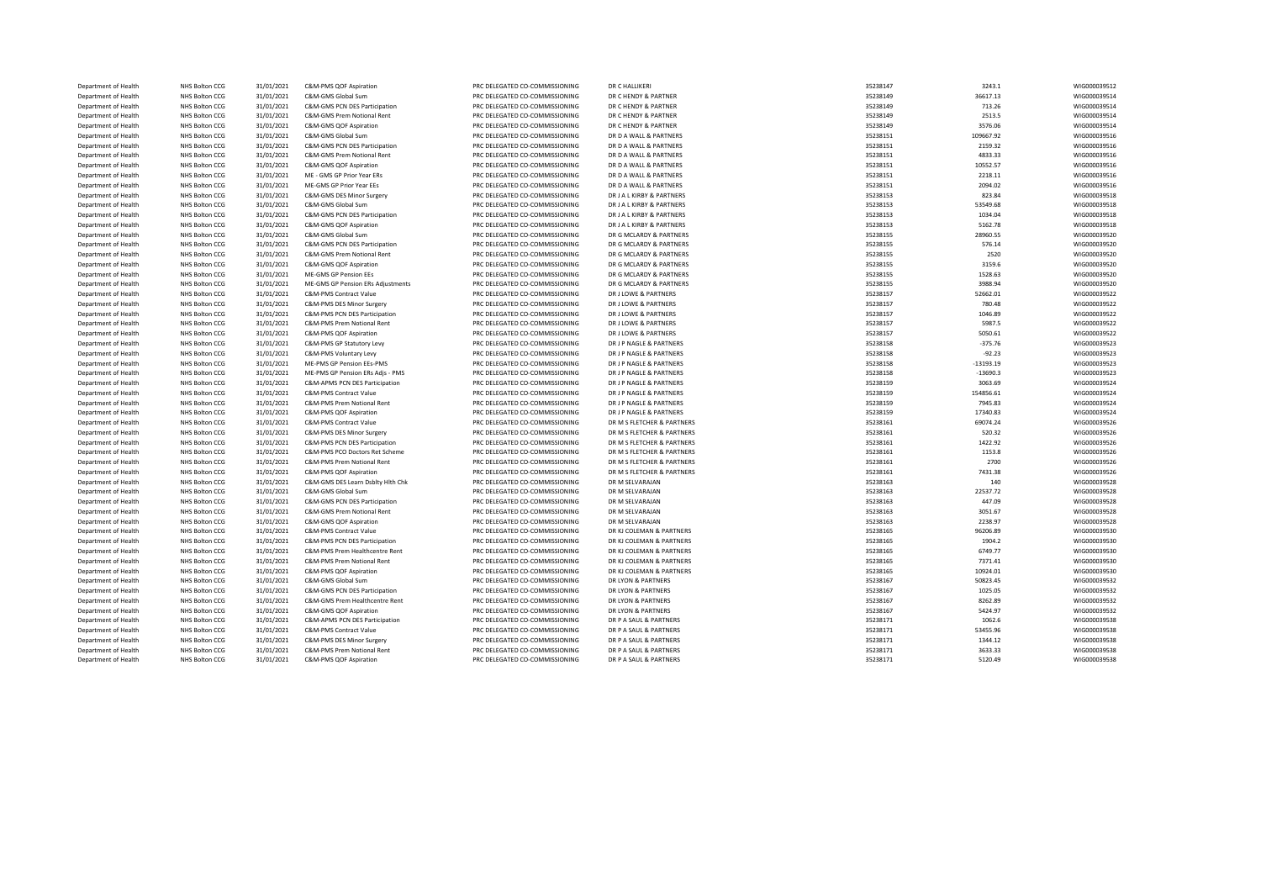| Department of Health | NHS Bolton CCG        | 31/01/2021 | C&M-PMS QOF Aspiration            | PRC DELEGATED CO-COMMISSIONING                                   | DR C HALLIKERI             | 35238147 | 3243.1      | WIG000039512 |
|----------------------|-----------------------|------------|-----------------------------------|------------------------------------------------------------------|----------------------------|----------|-------------|--------------|
| Department of Health | NHS Bolton CCG        | 31/01/2021 | C&M-GMS Global Sum                | PRC DELEGATED CO-COMMISSIONING                                   | DR C HENDY & PARTNER       | 35238149 | 36617.13    | WIG000039514 |
| Department of Health | NHS Bolton CCG        | 31/01/2021 | C&M-GMS PCN DES Participation     | PRC DELEGATED CO-COMMISSIONING                                   | DR C HENDY & PARTNER       | 35238149 | 713.26      | WIG000039514 |
| Department of Health | NHS Bolton CCG        | 31/01/2021 | C&M-GMS Prem Notional Rent        | PRC DELEGATED CO-COMMISSIONING                                   | DR C HENDY & PARTNER       | 35238149 | 2513.5      | WIG000039514 |
| Department of Health | NHS Bolton CCG        | 31/01/2021 | C&M-GMS QOF Aspiration            | PRC DELEGATED CO-COMMISSIONING                                   | DR C HENDY & PARTNER       | 35238149 | 3576.06     | WIG000039514 |
| Department of Health | NHS Bolton CCG        | 31/01/2021 | C&M-GMS Global Sum                | PRC DELEGATED CO-COMMISSIONING                                   | DR D A WALL & PARTNERS     | 35238151 | 109667.92   | WIG000039516 |
| Department of Health | NHS Bolton CCG        | 31/01/2021 | C&M-GMS PCN DES Participation     | PRC DELEGATED CO-COMMISSIONING                                   | DR D A WALL & PARTNERS     | 35238151 | 2159.32     | WIG000039516 |
| Department of Health | NHS Bolton CCG        | 31/01/2021 | C&M-GMS Prem Notional Rent        | PRC DELEGATED CO-COMMISSIONING                                   | DR D A WALL & PARTNERS     | 35238151 | 4833.33     | WIG000039516 |
| Department of Health | NHS Bolton CCG        | 31/01/2021 | C&M-GMS QOF Aspiration            | PRC DELEGATED CO-COMMISSIONING                                   | DR D A WALL & PARTNERS     | 35238151 | 10552.57    | WIG000039516 |
| Department of Health | NHS Bolton CCG        | 31/01/2021 | ME - GMS GP Prior Year ERs        | PRC DELEGATED CO-COMMISSIONING                                   | DR D A WALL & PARTNERS     | 35238151 | 2218.11     | WIG000039516 |
| Department of Health | NHS Bolton CCG        | 31/01/2021 | ME-GMS GP Prior Year EEs          | PRC DELEGATED CO-COMMISSIONING                                   | DR D A WALL & PARTNERS     | 35238151 | 2094.02     | WIG000039516 |
| Department of Health | NHS Bolton CCG        | 31/01/2021 | C&M-GMS DES Minor Surgery         | PRC DELEGATED CO-COMMISSIONING                                   | DR J A L KIRBY & PARTNERS  | 35238153 | 823.84      | WIG000039518 |
| Department of Health | NHS Bolton CCG        | 31/01/2021 | C&M-GMS Global Sum                | PRC DELEGATED CO-COMMISSIONING                                   | DR J A L KIRBY & PARTNERS  | 35238153 | 53549.68    | WIG000039518 |
| Department of Health | NHS Bolton CCG        | 31/01/2021 | C&M-GMS PCN DES Participation     | PRC DELEGATED CO-COMMISSIONING                                   | DR J A L KIRBY & PARTNERS  | 35238153 | 1034.04     | WIG000039518 |
| Department of Health | NHS Bolton CCG        |            | C&M-GMS QOF Aspiration            | PRC DELEGATED CO-COMMISSIONING                                   | DR J A L KIRBY & PARTNERS  | 35238153 | 5162.78     | WIG000039518 |
|                      |                       | 31/01/2021 |                                   |                                                                  |                            |          |             |              |
| Department of Health | NHS Bolton CCG        | 31/01/2021 | C&M-GMS Global Sum                | PRC DELEGATED CO-COMMISSIONING<br>PRC DELEGATED CO-COMMISSIONING | DR G MCLARDY & PARTNERS    | 35238155 | 28960.55    | WIG000039520 |
| Department of Health | NHS Bolton CCG        | 31/01/2021 | C&M-GMS PCN DES Participation     |                                                                  | DR G MCLARDY & PARTNERS    | 35238155 | 576.14      | WIG000039520 |
| Department of Health | NHS Bolton CCG        | 31/01/2021 | C&M-GMS Prem Notional Rent        | PRC DELEGATED CO-COMMISSIONING                                   | DR G MCLARDY & PARTNERS    | 35238155 | 2520        | WIG000039520 |
| Department of Health | NHS Bolton CCG        | 31/01/2021 | C&M-GMS QOF Aspiration            | PRC DELEGATED CO-COMMISSIONING                                   | DR G MCLARDY & PARTNERS    | 35238155 | 3159.6      | WIG000039520 |
| Department of Health | NHS Bolton CCG        | 31/01/2021 | ME-GMS GP Pension EEs             | PRC DELEGATED CO-COMMISSIONING                                   | DR G MCLARDY & PARTNERS    | 35238155 | 1528.63     | WIG000039520 |
| Department of Health | NHS Bolton CCG        | 31/01/2021 | ME-GMS GP Pension ERs Adjustments | PRC DELEGATED CO-COMMISSIONING                                   | DR G MCLARDY & PARTNERS    | 35238155 | 3988.94     | WIG000039520 |
| Department of Health | NHS Bolton CCG        | 31/01/2021 | C&M-PMS Contract Value            | PRC DELEGATED CO-COMMISSIONING                                   | DR J LOWE & PARTNERS       | 35238157 | 52662.01    | WIG000039522 |
| Department of Health | NHS Bolton CCG        | 31/01/2021 | C&M-PMS DES Minor Surgery         | PRC DELEGATED CO-COMMISSIONING                                   | DR J LOWE & PARTNERS       | 35238157 | 780.48      | WIG000039522 |
| Department of Health | NHS Bolton CCG        | 31/01/2021 | C&M-PMS PCN DES Participation     | PRC DELEGATED CO-COMMISSIONING                                   | DR J LOWE & PARTNERS       | 35238157 | 1046.89     | WIG000039522 |
| Department of Health | NHS Bolton CCG        | 31/01/2021 | C&M-PMS Prem Notional Rent        | PRC DELEGATED CO-COMMISSIONING                                   | DR J LOWE & PARTNERS       | 35238157 | 5987.5      | WIG000039522 |
| Department of Health | NHS Bolton CCG        | 31/01/2021 | C&M-PMS QOF Aspiration            | PRC DELEGATED CO-COMMISSIONING                                   | DR J LOWE & PARTNERS       | 35238157 | 5050.61     | WIG000039522 |
| Department of Health | NHS Bolton CCG        | 31/01/2021 | C&M-PMS GP Statutory Levy         | PRC DELEGATED CO-COMMISSIONING                                   | DR J P NAGLE & PARTNERS    | 35238158 | $-375.76$   | WIG000039523 |
| Department of Health | NHS Bolton CCG        | 31/01/2021 | C&M-PMS Voluntary Levy            | PRC DELEGATED CO-COMMISSIONING                                   | DR J P NAGLE & PARTNERS    | 35238158 | $-92.23$    | WIG000039523 |
| Department of Health | NHS Bolton CCG        | 31/01/2021 | ME-PMS GP Pension EEs-PMS         | PRC DELEGATED CO-COMMISSIONING                                   | DR J P NAGLE & PARTNERS    | 35238158 | $-13193.19$ | WIG000039523 |
| Department of Health | NHS Bolton CCG        | 31/01/2021 | ME-PMS GP Pension ERs Adjs - PMS  | PRC DELEGATED CO-COMMISSIONING                                   | DR J P NAGLE & PARTNERS    | 35238158 | $-13690.3$  | WIG000039523 |
| Department of Health | NHS Bolton CCG        | 31/01/2021 | C&M-APMS PCN DES Participation    | PRC DELEGATED CO-COMMISSIONING                                   | DR J P NAGLE & PARTNERS    | 35238159 | 3063.69     | WIG000039524 |
| Department of Health | NHS Bolton CCG        | 31/01/2021 | <b>C&amp;M-PMS Contract Value</b> | PRC DELEGATED CO-COMMISSIONING                                   | DR J P NAGLE & PARTNERS    | 35238159 | 154856.61   | WIG000039524 |
| Department of Health | NHS Bolton CCG        | 31/01/2021 | C&M-PMS Prem Notional Rent        | PRC DELEGATED CO-COMMISSIONING                                   | DR J P NAGLE & PARTNERS    | 35238159 | 7945.83     | WIG000039524 |
| Department of Health | NHS Bolton CCG        | 31/01/2021 | C&M-PMS QOF Aspiration            | PRC DELEGATED CO-COMMISSIONING                                   | DR J P NAGLE & PARTNERS    | 35238159 | 17340.83    | WIG000039524 |
| Department of Health | NHS Bolton CCG        | 31/01/2021 | C&M-PMS Contract Value            | PRC DELEGATED CO-COMMISSIONING                                   | DR M S FLETCHER & PARTNERS | 35238161 | 69074.24    | WIG000039526 |
| Department of Health | NHS Bolton CCG        | 31/01/2021 | C&M-PMS DES Minor Surgery         | PRC DELEGATED CO-COMMISSIONING                                   | DR M S FLETCHER & PARTNERS | 35238161 | 520.32      | WIG000039526 |
| Department of Health | NHS Bolton CCG        | 31/01/2021 | C&M-PMS PCN DES Participation     | PRC DELEGATED CO-COMMISSIONING                                   | DR M S FLETCHER & PARTNERS | 35238161 | 1422.92     | WIG000039526 |
| Department of Health | NHS Bolton CCG        | 31/01/2021 | C&M-PMS PCO Doctors Ret Scheme    | PRC DELEGATED CO-COMMISSIONING                                   | DR M S FLETCHER & PARTNERS | 35238161 | 1153.8      | WIG000039526 |
| Department of Health | NHS Bolton CCG        | 31/01/2021 | C&M-PMS Prem Notional Rent        | PRC DELEGATED CO-COMMISSIONING                                   | DR M S FLETCHER & PARTNERS | 35238161 | 2700        | WIG000039526 |
| Department of Health | NHS Bolton CCG        | 31/01/2021 | C&M-PMS QOF Aspiration            | PRC DELEGATED CO-COMMISSIONING                                   | DR M S FLETCHER & PARTNERS | 35238161 | 7431.38     | WIG000039526 |
| Department of Health | NHS Bolton CCG        | 31/01/2021 | C&M-GMS DES Learn Dsblty Hlth Chk | PRC DELEGATED CO-COMMISSIONING                                   | DR M SELVARAJAN            | 35238163 | 140         | WIG000039528 |
| Department of Health | NHS Bolton CCG        | 31/01/2021 | C&M-GMS Global Sum                | PRC DELEGATED CO-COMMISSIONING                                   | DR M SELVARAJAN            | 35238163 | 22537.72    | WIG000039528 |
| Department of Health | NHS Bolton CCG        | 31/01/2021 | C&M-GMS PCN DES Participation     | PRC DELEGATED CO-COMMISSIONING                                   | DR M SELVARAJAN            | 35238163 | 447.09      | WIG000039528 |
| Department of Health | <b>NHS Bolton CCG</b> | 31/01/2021 | C&M-GMS Prem Notional Rent        | PRC DELEGATED CO-COMMISSIONING                                   | DR M SELVARAJAN            | 35238163 | 3051.67     | WIG000039528 |
| Department of Health | NHS Bolton CCG        | 31/01/2021 | C&M-GMS QOF Aspiration            | PRC DELEGATED CO-COMMISSIONING                                   | DR M SELVARAJAN            | 35238163 | 2238.97     | WIG000039528 |
| Department of Health | NHS Bolton CCG        | 31/01/2021 | <b>C&amp;M-PMS Contract Value</b> | PRC DELEGATED CO-COMMISSIONING                                   | DR KJ COLEMAN & PARTNERS   | 35238165 | 96206.89    | WIG000039530 |
| Department of Health | NHS Bolton CCG        | 31/01/2021 | C&M-PMS PCN DES Participation     | PRC DELEGATED CO-COMMISSIONING                                   | DR KJ COLEMAN & PARTNERS   | 35238165 | 1904.2      | WIG000039530 |
| Department of Health | NHS Bolton CCG        |            | C&M-PMS Prem Healthcentre Rent    | PRC DELEGATED CO-COMMISSIONING                                   | DR KJ COLEMAN & PARTNERS   |          | 6749.77     |              |
|                      |                       | 31/01/2021 |                                   |                                                                  |                            | 35238165 |             | WIG000039530 |
| Department of Health | NHS Bolton CCG        | 31/01/2021 | C&M-PMS Prem Notional Rent        | PRC DELEGATED CO-COMMISSIONING                                   | DR KJ COLEMAN & PARTNERS   | 35238165 | 7371.41     | WIG000039530 |
| Department of Health | NHS Bolton CCG        | 31/01/2021 | C&M-PMS QOF Aspiration            | PRC DELEGATED CO-COMMISSIONING                                   | DR KJ COLEMAN & PARTNERS   | 35238165 | 10924.01    | WIG000039530 |
| Department of Health | NHS Bolton CCG        | 31/01/2021 | C&M-GMS Global Sum                | PRC DELEGATED CO-COMMISSIONING                                   | DR LYON & PARTNERS         | 35238167 | 50823.45    | WIG000039532 |
| Department of Health | NHS Bolton CCG        | 31/01/2021 | C&M-GMS PCN DES Participation     | PRC DELEGATED CO-COMMISSIONING                                   | DR LYON & PARTNERS         | 35238167 | 1025.05     | WIG000039532 |
| Department of Health | NHS Bolton CCG        | 31/01/2021 | C&M-GMS Prem Healthcentre Rent    | PRC DELEGATED CO-COMMISSIONING                                   | DR LYON & PARTNERS         | 35238167 | 8262.89     | WIG000039532 |
| Department of Health | NHS Bolton CCG        | 31/01/2021 | C&M-GMS QOF Aspiration            | PRC DELEGATED CO-COMMISSIONING                                   | DR LYON & PARTNERS         | 35238167 | 5424.97     | WIG000039532 |
| Department of Health | NHS Bolton CCG        | 31/01/2021 | C&M-APMS PCN DES Participation    | PRC DELEGATED CO-COMMISSIONING                                   | DR P A SAUL & PARTNERS     | 35238171 | 1062.6      | WIG000039538 |
| Department of Health | NHS Bolton CCG        | 31/01/2021 | C&M-PMS Contract Value            | PRC DELEGATED CO-COMMISSIONING                                   | DR P A SAUL & PARTNERS     | 35238171 | 53455.96    | WIG000039538 |
| Department of Health | NHS Bolton CCG        | 31/01/2021 | C&M-PMS DES Minor Surgery         | PRC DELEGATED CO-COMMISSIONING                                   | DR P A SAUL & PARTNERS     | 35238171 | 1344.12     | WIG000039538 |
| Department of Health | NHS Bolton CCG        | 31/01/2021 | C&M-PMS Prem Notional Rent        | PRC DELEGATED CO-COMMISSIONING                                   | DR P A SAUL & PARTNERS     | 35238171 | 3633.33     | WIG000039538 |
| Department of Health | <b>NHS Bolton CCG</b> | 31/01/2021 | C&M-PMS QOF Aspiration            | PRC DELEGATED CO-COMMISSIONING                                   | DR P A SAUL & PARTNERS     | 35238171 | 5120.49     | WIG000039538 |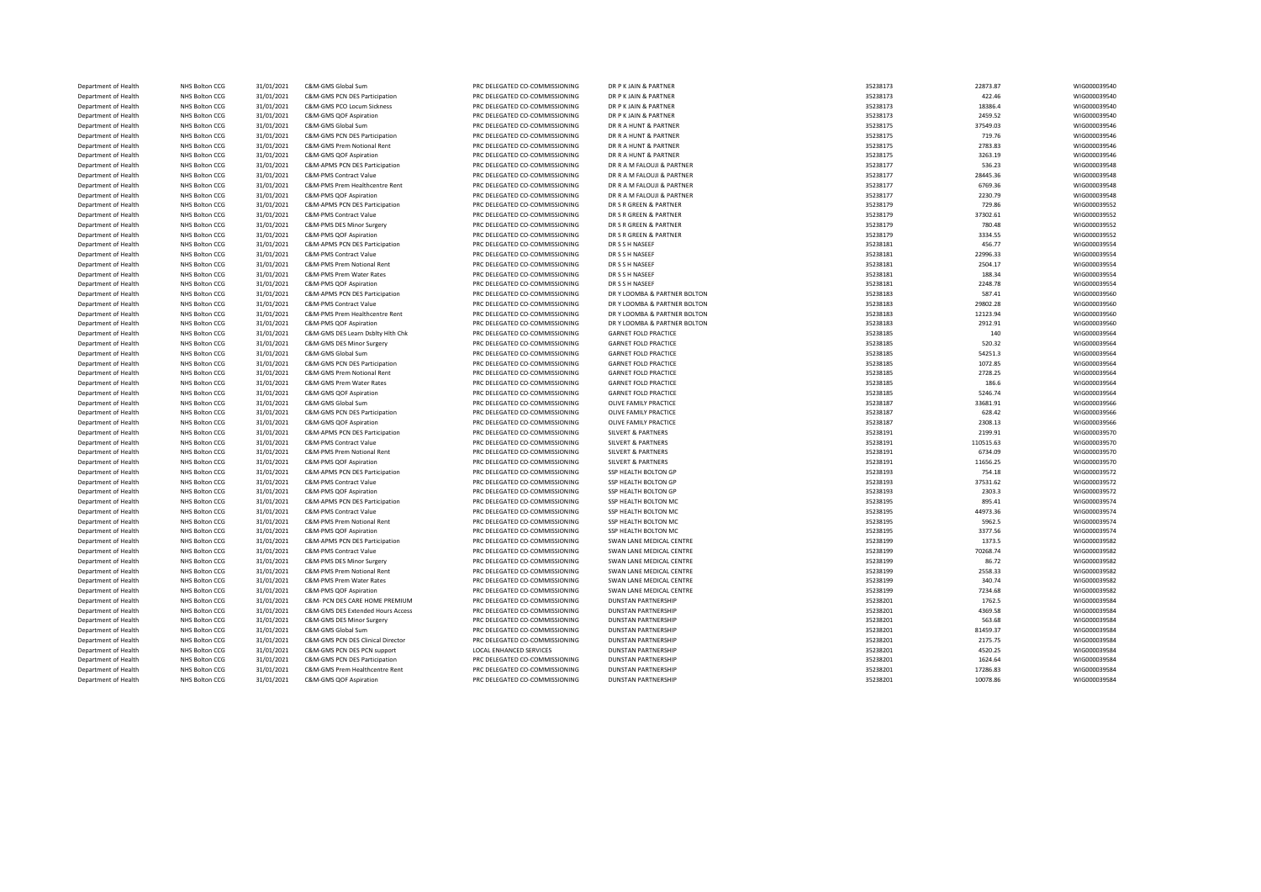| Department of Health | NHS Bolton CCG | 31/01/2021 | C&M-GMS Global Sum                | PRC DELEGATED CO-COMMISSIONING                            | DR P K JAIN & PARTNER                                    | 35238173 | 22873.87  | WIG000039540 |
|----------------------|----------------|------------|-----------------------------------|-----------------------------------------------------------|----------------------------------------------------------|----------|-----------|--------------|
| Department of Health | NHS Bolton CCG | 31/01/2021 | C&M-GMS PCN DES Participation     | PRC DELEGATED CO-COMMISSIONING                            | DR P K JAIN & PARTNER                                    | 35238173 | 422.46    | WIG000039540 |
| Department of Health | NHS Bolton CCG | 31/01/2021 | C&M-GMS PCO Locum Sickness        | PRC DELEGATED CO-COMMISSIONING                            | DR P K JAIN & PARTNER                                    | 35238173 | 18386.4   | WIG000039540 |
| Department of Health | NHS Bolton CCG | 31/01/2021 | C&M-GMS QOF Aspiration            | PRC DELEGATED CO-COMMISSIONING                            | DR P K JAIN & PARTNER                                    | 35238173 | 2459.52   | WIG000039540 |
| Department of Health | NHS Bolton CCG | 31/01/2021 | C&M-GMS Global Sum                | PRC DELEGATED CO-COMMISSIONING                            | DR R A HUNT & PARTNER                                    | 35238175 | 37549.03  | WIG000039546 |
| Department of Health | NHS Bolton CCG | 31/01/2021 | C&M-GMS PCN DES Participation     | PRC DELEGATED CO-COMMISSIONING                            | DR R A HUNT & PARTNER                                    | 35238175 | 719.76    | WIG000039546 |
| Department of Health | NHS Bolton CCG | 31/01/2021 | C&M-GMS Prem Notional Rent        | PRC DELEGATED CO-COMMISSIONING                            | DR R A HUNT & PARTNER                                    | 35238175 | 2783.83   | WIG000039546 |
| Department of Health | NHS Bolton CCG | 31/01/2021 | C&M-GMS QOF Aspiration            | PRC DELEGATED CO-COMMISSIONING                            | DR R A HUNT & PARTNER                                    | 35238175 | 3263.19   | WIG000039546 |
| Department of Health | NHS Bolton CCG | 31/01/2021 | C&M-APMS PCN DES Participation    | PRC DELEGATED CO-COMMISSIONING                            | DR R A M FALOUJI & PARTNER                               | 35238177 | 536.23    | WIG000039548 |
| Department of Health | NHS Bolton CCG | 31/01/2021 | C&M-PMS Contract Value            | PRC DELEGATED CO-COMMISSIONING                            | DR R A M FALOUJI & PARTNER                               | 35238177 | 28445.36  | WIG000039548 |
| Department of Health | NHS Bolton CCG | 31/01/2021 | C&M-PMS Prem Healthcentre Rent    | PRC DELEGATED CO-COMMISSIONING                            | DR R A M FALOUJI & PARTNER                               | 35238177 | 6769.36   | WIG000039548 |
| Department of Health | NHS Bolton CCG | 31/01/2021 | C&M-PMS QOF Aspiration            | PRC DELEGATED CO-COMMISSIONING                            | DR R A M FALOUJI & PARTNER                               | 35238177 | 2230.79   | WIG000039548 |
|                      |                |            |                                   |                                                           |                                                          |          |           |              |
| Department of Health | NHS Bolton CCG | 31/01/2021 | C&M-APMS PCN DES Participation    | PRC DELEGATED CO-COMMISSIONING                            | DR S R GREEN & PARTNER                                   | 35238179 | 729.86    | WIG000039552 |
| Department of Health | NHS Bolton CCG | 31/01/2021 | C&M-PMS Contract Value            | PRC DELEGATED CO-COMMISSIONING                            | DR S R GREEN & PARTNER                                   | 35238179 | 37302.61  | WIG000039552 |
| Department of Health | NHS Bolton CCG | 31/01/2021 | C&M-PMS DES Minor Surgery         | PRC DELEGATED CO-COMMISSIONING                            | DR S R GREEN & PARTNER                                   | 35238179 | 780.48    | WIG000039552 |
| Department of Health | NHS Bolton CCG | 31/01/2021 | C&M-PMS QOF Aspiration            | PRC DELEGATED CO-COMMISSIONING                            | DR S R GREEN & PARTNER                                   | 35238179 | 3334.55   | WIG000039552 |
| Department of Health | NHS Bolton CCG | 31/01/2021 | C&M-APMS PCN DES Participation    | PRC DELEGATED CO-COMMISSIONING                            | DR S S H NASEER                                          | 35238181 | 456.77    | WIG000039554 |
| Department of Health | NHS Bolton CCG | 31/01/2021 | C&M-PMS Contract Value            | PRC DELEGATED CO-COMMISSIONING                            | DR S S H NASEER                                          | 35238181 | 22996.33  | WIG000039554 |
| Department of Health | NHS Bolton CCG | 31/01/2021 | C&M-PMS Prem Notional Rent        | PRC DELEGATED CO-COMMISSIONING                            | DR S S H NASEEF                                          | 35238181 | 2504.17   | WIG000039554 |
| Department of Health | NHS Bolton CCG | 31/01/2021 | C&M-PMS Prem Water Rates          | PRC DELEGATED CO-COMMISSIONING                            | DR S S H NASEER                                          | 35238181 | 188.34    | WIG000039554 |
| Department of Health | NHS Bolton CCG | 31/01/2021 | C&M-PMS QOF Aspiration            | PRC DELEGATED CO-COMMISSIONING                            | DR S S H NASEEF                                          | 35238181 | 2248.78   | WIG000039554 |
| Department of Health | NHS Bolton CCG | 31/01/2021 | C&M-APMS PCN DES Participation    | PRC DELEGATED CO-COMMISSIONING                            | DR Y LOOMBA & PARTNER BOLTON                             | 35238183 | 587.41    | WIG000039560 |
| Department of Health | NHS Bolton CCG | 31/01/2021 | C&M-PMS Contract Value            | PRC DELEGATED CO-COMMISSIONING                            | DR Y LOOMBA & PARTNER BOLTON                             | 35238183 | 29802.28  | WIG000039560 |
| Department of Health | NHS Bolton CCG | 31/01/2021 | C&M-PMS Prem Healthcentre Rent    | PRC DELEGATED CO-COMMISSIONING                            | DR Y LOOMBA & PARTNER BOLTON                             | 35238183 | 12123.94  | WIG000039560 |
| Department of Health | NHS Bolton CCG | 31/01/2021 | C&M-PMS QOF Aspiration            | PRC DELEGATED CO-COMMISSIONING                            | DR Y LOOMBA & PARTNER BOLTON                             | 35238183 | 2912.91   | WIG000039560 |
| Department of Health | NHS Bolton CCG | 31/01/2021 | C&M-GMS DES Learn Dsblty Hlth Chk | PRC DELEGATED CO-COMMISSIONING                            | <b>GARNET FOLD PRACTICE</b>                              | 35238185 | 140       | WIG000039564 |
| Department of Health | NHS Bolton CCG | 31/01/2021 | C&M-GMS DES Minor Surgery         | PRC DELEGATED CO-COMMISSIONING                            | <b>GARNET FOLD PRACTICE</b>                              | 35238185 | 520.32    | WIG000039564 |
| Department of Health | NHS Bolton CCG | 31/01/2021 | C&M-GMS Global Sum                | PRC DELEGATED CO-COMMISSIONING                            | <b>GARNET FOLD PRACTICE</b>                              | 35238185 | 54251.3   | WIG000039564 |
| Department of Health | NHS Bolton CCG | 31/01/2021 | C&M-GMS PCN DES Participation     | PRC DELEGATED CO-COMMISSIONING                            | <b>GARNET FOLD PRACTICE</b>                              | 35238185 | 1072.85   | WIG000039564 |
| Department of Health | NHS Bolton CCG | 31/01/2021 | C&M-GMS Prem Notional Rent        | PRC DELEGATED CO-COMMISSIONING                            | <b>GARNET FOLD PRACTICE</b>                              | 35238185 | 2728.25   | WIG000039564 |
| Department of Health | NHS Bolton CCG | 31/01/2021 | C&M-GMS Prem Water Rates          | PRC DELEGATED CO-COMMISSIONING                            | <b>GARNET FOLD PRACTICE</b>                              | 35238185 | 186.6     | WIG000039564 |
| Department of Health | NHS Bolton CCG | 31/01/2021 | C&M-GMS QOF Aspiration            | PRC DELEGATED CO-COMMISSIONING                            | <b>GARNET FOLD PRACTICE</b>                              | 35238185 | 5246.74   | WIG000039564 |
| Department of Health | NHS Bolton CCG | 31/01/2021 | C&M-GMS Global Sum                | PRC DELEGATED CO-COMMISSIONING                            | OLIVE FAMILY PRACTICE                                    | 35238187 | 33681.91  | WIG000039566 |
| Department of Health | NHS Bolton CCG | 31/01/2021 | C&M-GMS PCN DES Participation     | PRC DELEGATED CO-COMMISSIONING                            | OLIVE FAMILY PRACTICE                                    | 35238187 | 628.42    | WIG000039566 |
| Department of Health | NHS Bolton CCG | 31/01/2021 | C&M-GMS QOF Aspiration            | PRC DELEGATED CO-COMMISSIONING                            | OLIVE FAMILY PRACTICE                                    | 35238187 | 2308.13   | WIG000039566 |
|                      |                |            |                                   | PRC DELEGATED CO-COMMISSIONING                            | <b>SILVERT &amp; PARTNERS</b>                            |          |           |              |
| Department of Health | NHS Bolton CCG | 31/01/2021 | C&M-APMS PCN DES Participation    |                                                           |                                                          | 35238191 | 2199.91   | WIG000039570 |
| Department of Health | NHS Bolton CCG | 31/01/2021 | C&M-PMS Contract Value            | PRC DELEGATED CO-COMMISSIONING                            | <b>SILVERT &amp; PARTNERS</b>                            | 35238191 | 110515.63 | WIG000039570 |
| Department of Health | NHS Bolton CCG | 31/01/2021 | C&M-PMS Prem Notional Rent        | PRC DELEGATED CO-COMMISSIONING                            | <b>SILVERT &amp; PARTNERS</b>                            | 35238191 | 6734.09   | WIG000039570 |
| Department of Health | NHS Bolton CCG | 31/01/2021 | C&M-PMS QOF Aspiration            | PRC DELEGATED CO-COMMISSIONING                            | <b>SILVERT &amp; PARTNERS</b>                            | 35238191 | 11656.25  | WIG000039570 |
| Department of Health | NHS Bolton CCG | 31/01/2021 | C&M-APMS PCN DES Participation    | PRC DELEGATED CO-COMMISSIONING                            | SSP HEALTH BOLTON GP                                     | 35238193 | 754.18    | WIG000039572 |
| Department of Health | NHS Bolton CCG | 31/01/2021 | C&M-PMS Contract Value            | PRC DELEGATED CO-COMMISSIONING                            | SSP HEALTH BOLTON GP                                     | 35238193 | 37531.62  | WIG000039572 |
| Department of Health | NHS Bolton CCG | 31/01/2021 | C&M-PMS QOF Aspiration            | PRC DELEGATED CO-COMMISSIONING                            | SSP HEALTH BOLTON GP                                     | 35238193 | 2303.3    | WIG000039572 |
| Department of Health | NHS Bolton CCG | 31/01/2021 | C&M-APMS PCN DES Participation    | PRC DELEGATED CO-COMMISSIONING                            | SSP HEALTH BOLTON MC                                     | 35238195 | 895.41    | WIG000039574 |
| Department of Health | NHS Bolton CCG | 31/01/2021 | C&M-PMS Contract Value            | PRC DELEGATED CO-COMMISSIONING                            | SSP HEALTH BOLTON MC                                     | 35238195 | 44973.36  | WIG000039574 |
| Department of Health | NHS Bolton CCG | 31/01/2021 | C&M-PMS Prem Notional Rent        | PRC DELEGATED CO-COMMISSIONING                            | SSP HEALTH BOLTON MC                                     | 35238195 | 5962.5    | WIG000039574 |
| Department of Health | NHS Bolton CCG | 31/01/2021 | C&M-PMS QOF Aspiration            | PRC DELEGATED CO-COMMISSIONING                            | SSP HEALTH BOLTON MC                                     | 35238195 | 3377.56   | WIG000039574 |
| Department of Health | NHS Bolton CCG | 31/01/2021 | C&M-APMS PCN DES Participation    | PRC DELEGATED CO-COMMISSIONING                            | SWAN LANE MEDICAL CENTRE                                 | 35238199 | 1373.5    | WIG000039582 |
| Department of Health | NHS Bolton CCG | 31/01/2021 | <b>C&amp;M-PMS Contract Value</b> | PRC DELEGATED CO-COMMISSIONING                            | SWAN LANE MEDICAL CENTRE                                 | 35238199 | 70268.74  | WIG000039582 |
| Department of Health | NHS Bolton CCG | 31/01/2021 | C&M-PMS DES Minor Surgery         | PRC DELEGATED CO-COMMISSIONING                            | SWAN LANE MEDICAL CENTRE                                 | 35238199 | 86.72     | WIG000039582 |
| Department of Health | NHS Bolton CCG | 31/01/2021 | C&M-PMS Prem Notional Rent        | PRC DELEGATED CO-COMMISSIONING                            | SWAN LANE MEDICAL CENTRE                                 | 35238199 | 2558.33   | WIG000039582 |
| Department of Health | NHS Bolton CCG | 31/01/2021 | C&M-PMS Prem Water Rates          | PRC DELEGATED CO-COMMISSIONING                            | SWAN LANE MEDICAL CENTRE                                 | 35238199 | 340.74    | WIG000039582 |
| Department of Health | NHS Bolton CCG | 31/01/2021 | C&M-PMS QOF Aspiration            | PRC DELEGATED CO-COMMISSIONING                            | SWAN LANE MEDICAL CENTRE                                 | 35238199 | 7234.68   | WIG000039582 |
| Department of Health | NHS Bolton CCG | 31/01/2021 | C&M- PCN DES CARE HOME PREMIUM    | PRC DELEGATED CO-COMMISSIONING                            | <b>DUNSTAN PARTNERSHIP</b>                               | 35238201 | 1762.5    | WIG000039584 |
| Department of Health | NHS Bolton CCG | 31/01/2021 | C&M-GMS DES Extended Hours Access | PRC DELEGATED CO-COMMISSIONING                            | <b>DUNSTAN PARTNERSHIP</b>                               | 35238201 | 4369.58   | WIG000039584 |
| Department of Health | NHS Bolton CCG | 31/01/2021 | C&M-GMS DES Minor Surgery         | PRC DELEGATED CO-COMMISSIONING                            | <b>DUNSTAN PARTNERSHIP</b>                               | 35238201 | 563.68    | WIG000039584 |
| Department of Health | NHS Bolton CCG | 31/01/2021 | C&M-GMS Global Sum                | PRC DELEGATED CO-COMMISSIONING                            | <b>DUNSTAN PARTNERSHIP</b>                               | 35238201 | 81459.37  | WIG000039584 |
|                      |                |            |                                   |                                                           |                                                          |          |           |              |
| Department of Health | NHS Bolton CCG | 31/01/2021 | C&M-GMS PCN DES Clinical Director | PRC DELEGATED CO-COMMISSIONING<br>LOCAL ENHANCED SERVICES | <b>DUNSTAN PARTNERSHIP</b><br><b>DUNSTAN PARTNERSHIP</b> | 35238201 | 2175.75   | WIG000039584 |
| Department of Health | NHS Bolton CCG | 31/01/2021 | C&M-GMS PCN DES PCN support       |                                                           |                                                          | 35238201 | 4520.25   | WIG000039584 |
| Department of Health | NHS Bolton CCG | 31/01/2021 | C&M-GMS PCN DES Participation     | PRC DELEGATED CO-COMMISSIONING                            | <b>DUNSTAN PARTNERSHIP</b>                               | 35238201 | 1624.64   | WIG000039584 |
| Department of Health | NHS Bolton CCG | 31/01/2021 | C&M-GMS Prem Healthcentre Rent    | PRC DELEGATED CO-COMMISSIONING                            | <b>DUNSTAN PARTNERSHIP</b>                               | 35238201 | 17286.83  | WIG000039584 |
| Department of Health | NHS Bolton CCG | 31/01/2021 | C&M-GMS QOF Aspiration            | PRC DELEGATED CO-COMMISSIONING                            | <b>DUNSTAN PARTNERSHIP</b>                               | 35238201 | 10078.86  | WIG000039584 |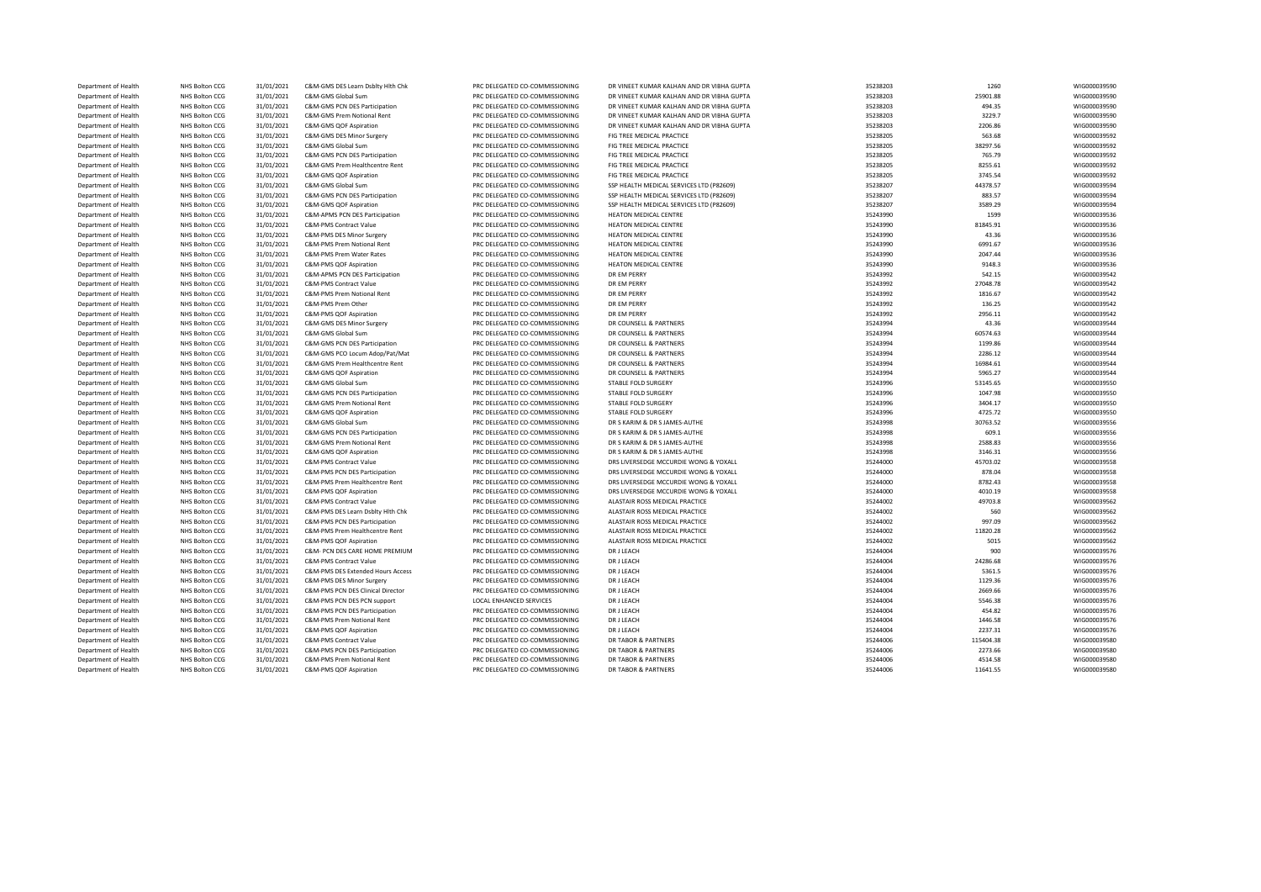| Department of Health | NHS Bolton CCG        | 31/01/2021 | C&M-GMS DES Learn Dsblty Hlth Chk     | PRC DELEGATED CO-COMMISSIONING | DR VINEET KUMAR KALHAN AND DR VIBHA GUPTA                         | 35238203 | 1260      | WIG000039590 |
|----------------------|-----------------------|------------|---------------------------------------|--------------------------------|-------------------------------------------------------------------|----------|-----------|--------------|
| Department of Health | NHS Bolton CCG        | 31/01/2021 | C&M-GMS Global Sum                    | PRC DELEGATED CO-COMMISSIONING | DR VINEET KUMAR KALHAN AND DR VIBHA GUPTA                         | 35238203 | 25901.88  | WIG000039590 |
| Department of Health | NHS Bolton CCG        | 31/01/2021 | C&M-GMS PCN DES Participation         | PRC DELEGATED CO-COMMISSIONING | DR VINEET KUMAR KALHAN AND DR VIBHA GUPTA                         | 35238203 | 494.35    | WIG000039590 |
| Department of Health | NHS Bolton CCG        | 31/01/2021 | C&M-GMS Prem Notional Rent            | PRC DELEGATED CO-COMMISSIONING | DR VINEET KUMAR KALHAN AND DR VIBHA GUPTA                         | 35238203 | 3229.7    | WIG000039590 |
| Department of Health | NHS Bolton CCG        | 31/01/2021 | C&M-GMS QOF Aspiration                | PRC DELEGATED CO-COMMISSIONING | DR VINEET KUMAR KALHAN AND DR VIBHA GUPTA                         | 35238203 | 2206.86   | WIG000039590 |
| Department of Health | NHS Bolton CCG        | 31/01/2021 | C&M-GMS DES Minor Surgery             | PRC DELEGATED CO-COMMISSIONING | FIG TREE MEDICAL PRACTICE                                         | 35238205 | 563.68    | WIG000039592 |
| Department of Health | NHS Bolton CCG        | 31/01/2021 | C&M-GMS Global Sum                    | PRC DELEGATED CO-COMMISSIONING | FIG TREE MEDICAL PRACTICE                                         | 35238205 | 38297.56  | WIG000039592 |
| Department of Health | NHS Bolton CCG        | 31/01/2021 | C&M-GMS PCN DES Participation         | PRC DELEGATED CO-COMMISSIONING | FIG TREE MEDICAL PRACTICE                                         | 35238205 | 765.79    | WIG000039592 |
| Department of Health | NHS Bolton CCG        | 31/01/2021 | C&M-GMS Prem Healthcentre Rent        | PRC DELEGATED CO-COMMISSIONING | FIG TREE MEDICAL PRACTICE                                         | 35238205 | 8255.61   | WIG000039592 |
| Department of Health | NHS Bolton CCG        | 31/01/2021 | C&M-GMS QOF Aspiration                | PRC DELEGATED CO-COMMISSIONING | FIG TREE MEDICAL PRACTICE                                         | 35238205 | 3745.54   | WIG000039592 |
| Department of Health | NHS Bolton CCG        | 31/01/2021 | C&M-GMS Global Sum                    | PRC DELEGATED CO-COMMISSIONING | SSP HEALTH MEDICAL SERVICES LTD (P82609)                          | 35238207 | 44378.57  | WIG000039594 |
| Department of Health | NHS Bolton CCG        | 31/01/2021 | C&M-GMS PCN DES Participation         | PRC DELEGATED CO-COMMISSIONING | SSP HEALTH MEDICAL SERVICES LTD (P82609)                          | 35238207 | 883.57    | WIG000039594 |
|                      |                       |            |                                       |                                |                                                                   |          |           |              |
| Department of Health | NHS Bolton CCG        | 31/01/2021 | C&M-GMS QOF Aspiration                | PRC DELEGATED CO-COMMISSIONING | SSP HEALTH MEDICAL SERVICES LTD (P82609)<br>HEATON MEDICAL CENTRE | 35238207 | 3589.29   | WIG000039594 |
| Department of Health | NHS Bolton CCG        | 31/01/2021 | C&M-APMS PCN DES Participation        | PRC DELEGATED CO-COMMISSIONING |                                                                   | 35243990 | 1599      | WIG000039536 |
| Department of Health | NHS Bolton CCG        | 31/01/2021 | <b>C&amp;M-PMS Contract Value</b>     | PRC DELEGATED CO-COMMISSIONING | HEATON MEDICAL CENTRE                                             | 35243990 | 81845.91  | WIG000039536 |
| Department of Health | NHS Bolton CCG        | 31/01/2021 | C&M-PMS DES Minor Surgery             | PRC DELEGATED CO-COMMISSIONING | HEATON MEDICAL CENTRE                                             | 35243990 | 43.36     | WIG000039536 |
| Department of Health | NHS Bolton CCG        | 31/01/2021 | C&M-PMS Prem Notional Rent            | PRC DELEGATED CO-COMMISSIONING | HEATON MEDICAL CENTRE                                             | 35243990 | 6991.67   | WIG000039536 |
| Department of Health | NHS Bolton CCG        | 31/01/2021 | C&M-PMS Prem Water Rates              | PRC DELEGATED CO-COMMISSIONING | <b>HEATON MEDICAL CENTRE</b>                                      | 35243990 | 2047.44   | WIG000039536 |
| Department of Health | NHS Bolton CCG        | 31/01/2021 | C&M-PMS QOF Aspiration                | PRC DELEGATED CO-COMMISSIONING | HEATON MEDICAL CENTRE                                             | 35243990 | 9148.3    | WIG000039536 |
| Department of Health | NHS Bolton CCG        | 31/01/2021 | C&M-APMS PCN DES Participation        | PRC DELEGATED CO-COMMISSIONING | DR EM PERRY                                                       | 35243992 | 542.15    | WIG000039542 |
| Department of Health | NHS Bolton CCG        | 31/01/2021 | <b>C&amp;M-PMS Contract Value</b>     | PRC DELEGATED CO-COMMISSIONING | DR EM PERRY                                                       | 35243992 | 27048.78  | WIG000039542 |
| Department of Health | NHS Bolton CCG        | 31/01/2021 | <b>C&amp;M-PMS Prem Notional Rent</b> | PRC DELEGATED CO-COMMISSIONING | DR EM PERRY                                                       | 35243992 | 1816.67   | WIG000039542 |
| Department of Health | NHS Bolton CCG        | 31/01/2021 | C&M-PMS Prem Other                    | PRC DELEGATED CO-COMMISSIONING | DR EM PERRY                                                       | 35243992 | 136.25    | WIG000039542 |
| Department of Health | NHS Bolton CCG        | 31/01/2021 | C&M-PMS QOF Aspiration                | PRC DELEGATED CO-COMMISSIONING | DR EM PERRY                                                       | 35243992 | 2956.11   | WIG000039542 |
| Department of Health | NHS Bolton CCG        | 31/01/2021 | C&M-GMS DES Minor Surgery             | PRC DELEGATED CO-COMMISSIONING | DR COUNSELL & PARTNERS                                            | 35243994 | 43.36     | WIG000039544 |
| Department of Health | NHS Bolton CCG        | 31/01/2021 | C&M-GMS Global Sum                    | PRC DELEGATED CO-COMMISSIONING | DR COUNSELL & PARTNERS                                            | 35243994 | 60574.63  | WIG000039544 |
| Department of Health | NHS Bolton CCG        | 31/01/2021 | C&M-GMS PCN DES Participation         | PRC DELEGATED CO-COMMISSIONING | DR COUNSELL & PARTNERS                                            | 35243994 | 1199.86   | WIG000039544 |
| Department of Health | NHS Bolton CCG        | 31/01/2021 | C&M-GMS PCO Locum Adop/Pat/Mat        | PRC DELEGATED CO-COMMISSIONING | DR COUNSELL & PARTNERS                                            | 35243994 | 2286.12   | WIG000039544 |
| Department of Health | NHS Bolton CCG        | 31/01/2021 | C&M-GMS Prem Healthcentre Rent        | PRC DELEGATED CO-COMMISSIONING | DR COUNSELL & PARTNERS                                            | 35243994 | 16984.61  | WIG000039544 |
| Department of Health | NHS Bolton CCG        | 31/01/2021 | C&M-GMS QOF Aspiration                | PRC DELEGATED CO-COMMISSIONING | DR COUNSELL & PARTNERS                                            | 35243994 | 5965.27   | WIG000039544 |
| Department of Health | NHS Bolton CCG        | 31/01/2021 | C&M-GMS Global Sum                    | PRC DELEGATED CO-COMMISSIONING | STABLE FOLD SURGERY                                               | 35243996 | 53145.65  | WIG000039550 |
| Department of Health | NHS Bolton CCG        | 31/01/2021 | C&M-GMS PCN DES Participation         | PRC DELEGATED CO-COMMISSIONING | STABLE FOLD SURGERY                                               | 35243996 | 1047.98   | WIG000039550 |
| Department of Health | NHS Bolton CCG        | 31/01/2021 | <b>C&amp;M-GMS Prem Notional Rent</b> | PRC DELEGATED CO-COMMISSIONING | STABLE FOLD SURGERY                                               | 35243996 | 3404.17   | WIG000039550 |
| Department of Health | NHS Bolton CCG        | 31/01/2021 | C&M-GMS QOF Aspiration                | PRC DELEGATED CO-COMMISSIONING | STABLE FOLD SURGERY                                               | 35243996 | 4725.72   | WIG000039550 |
|                      |                       |            | C&M-GMS Global Sum                    |                                |                                                                   |          | 30763.52  |              |
| Department of Health | NHS Bolton CCG        | 31/01/2021 |                                       | PRC DELEGATED CO-COMMISSIONING | DR S KARIM & DR S JAMES-AUTHE                                     | 35243998 |           | WIG000039556 |
| Department of Health | NHS Bolton CCG        | 31/01/2021 | C&M-GMS PCN DES Participation         | PRC DELEGATED CO-COMMISSIONING | DR S KARIM & DR S JAMES-AUTHE                                     | 35243998 | 609.1     | WIG000039556 |
| Department of Health | NHS Bolton CCG        | 31/01/2021 | C&M-GMS Prem Notional Rent            | PRC DELEGATED CO-COMMISSIONING | DR S KARIM & DR S JAMES-AUTHE                                     | 35243998 | 2588.83   | WIG000039556 |
| Department of Health | NHS Bolton CCG        | 31/01/2021 | C&M-GMS QOF Aspiration                | PRC DELEGATED CO-COMMISSIONING | DR S KARIM & DR S JAMES-AUTHE                                     | 35243998 | 3146.31   | WIG000039556 |
| Department of Health | NHS Bolton CCG        | 31/01/2021 | <b>C&amp;M-PMS Contract Value</b>     | PRC DELEGATED CO-COMMISSIONING | DRS LIVERSEDGE MCCURDIE WONG & YOXALL                             | 35244000 | 45703.02  | WIG000039558 |
| Department of Health | NHS Bolton CCG        | 31/01/2021 | C&M-PMS PCN DES Participation         | PRC DELEGATED CO-COMMISSIONING | DRS LIVERSEDGE MCCURDIE WONG & YOXALL                             | 35244000 | 878.04    | WIG000039558 |
| Department of Health | NHS Bolton CCG        | 31/01/2021 | C&M-PMS Prem Healthcentre Rent        | PRC DELEGATED CO-COMMISSIONING | DRS LIVERSEDGE MCCURDIE WONG & YOXALL                             | 35244000 | 8782.43   | WIG000039558 |
| Department of Health | NHS Bolton CCG        | 31/01/2021 | C&M-PMS QOF Aspiration                | PRC DELEGATED CO-COMMISSIONING | DRS LIVERSEDGE MCCURDIE WONG & YOXALL                             | 35244000 | 4010.19   | WIG000039558 |
| Department of Health | NHS Bolton CCG        | 31/01/2021 | <b>C&amp;M-PMS Contract Value</b>     | PRC DELEGATED CO-COMMISSIONING | ALASTAIR ROSS MEDICAL PRACTICE                                    | 35244002 | 49703.8   | WIG000039562 |
| Department of Health | NHS Bolton CCG        | 31/01/2021 | C&M-PMS DES Learn Dsblty Hlth Chk     | PRC DELEGATED CO-COMMISSIONING | ALASTAIR ROSS MEDICAL PRACTICE                                    | 35244002 | 560       | WIG000039562 |
| Department of Health | NHS Bolton CCG        | 31/01/2021 | C&M-PMS PCN DES Participation         | PRC DELEGATED CO-COMMISSIONING | ALASTAIR ROSS MEDICAL PRACTICE                                    | 35244002 | 997.09    | WIG000039562 |
| Department of Health | NHS Bolton CCG        | 31/01/2021 | C&M-PMS Prem Healthcentre Rent        | PRC DELEGATED CO-COMMISSIONING | ALASTAIR ROSS MEDICAL PRACTICE                                    | 35244002 | 11820.28  | WIG000039562 |
| Department of Health | NHS Bolton CCG        | 31/01/2021 | C&M-PMS QOF Aspiration                | PRC DELEGATED CO-COMMISSIONING | ALASTAIR ROSS MEDICAL PRACTICE                                    | 35244002 | 5015      | WIG000039562 |
| Department of Health | NHS Bolton CCG        | 31/01/2021 | C&M- PCN DES CARE HOME PREMIUM        | PRC DELEGATED CO-COMMISSIONING | DR J LEACH                                                        | 35244004 | 900       | WIG000039576 |
| Department of Health | NHS Bolton CCG        | 31/01/2021 | <b>C&amp;M-PMS Contract Value</b>     | PRC DELEGATED CO-COMMISSIONING | DR J LEACH                                                        | 35244004 | 24286.68  | WIG000039576 |
| Department of Health | NHS Bolton CCG        | 31/01/2021 | C&M-PMS DES Extended Hours Access     | PRC DELEGATED CO-COMMISSIONING | DR J LEACH                                                        | 35244004 | 5361.5    | WIG000039576 |
| Department of Health | NHS Bolton CCG        | 31/01/2021 | C&M-PMS DES Minor Surgery             | PRC DELEGATED CO-COMMISSIONING | DR J LEACH                                                        | 35244004 | 1129.36   | WIG000039576 |
| Department of Health | NHS Bolton CCG        | 31/01/2021 | C&M-PMS PCN DES Clinical Director     | PRC DELEGATED CO-COMMISSIONING | DR J LEACH                                                        | 35244004 | 2669.66   | WIG000039576 |
| Department of Health | NHS Bolton CCG        | 31/01/2021 | C&M-PMS PCN DES PCN support           | LOCAL ENHANCED SERVICES        | DR J LEACH                                                        | 35244004 | 5546.38   | WIG000039576 |
| Department of Health | NHS Bolton CCG        | 31/01/2021 | C&M-PMS PCN DES Participation         | PRC DELEGATED CO-COMMISSIONING | <b>DR J LEACH</b>                                                 | 35244004 | 454.82    | WIG000039576 |
| Department of Health | NHS Bolton CCG        | 31/01/2021 | <b>C&amp;M-PMS Prem Notional Rent</b> | PRC DELEGATED CO-COMMISSIONING | DR J LEACH                                                        | 35244004 | 1446.58   | WIG000039576 |
| Department of Health | NHS Bolton CCG        |            | C&M-PMS QOF Aspiration                | PRC DELEGATED CO-COMMISSIONING | DR J LEACH                                                        | 35244004 |           |              |
|                      |                       | 31/01/2021 |                                       |                                |                                                                   |          | 2237.31   | WIG000039576 |
| Department of Health | NHS Bolton CCG        | 31/01/2021 | <b>C&amp;M-PMS Contract Value</b>     | PRC DELEGATED CO-COMMISSIONING | <b>DR TABOR &amp; PARTNERS</b>                                    | 35244006 | 115404.38 | WIG000039580 |
| Department of Health | NHS Bolton CCG        | 31/01/2021 | C&M-PMS PCN DES Participation         | PRC DELEGATED CO-COMMISSIONING | <b>DR TABOR &amp; PARTNERS</b>                                    | 35244006 | 2273.66   | WIG000039580 |
| Department of Health | NHS Bolton CCG        | 31/01/2021 | <b>C&amp;M-PMS Prem Notional Rent</b> | PRC DELEGATED CO-COMMISSIONING | <b>DR TABOR &amp; PARTNERS</b>                                    | 35244006 | 4514.58   | WIG000039580 |
| Department of Health | <b>NHS Bolton CCG</b> | 31/01/2021 | C&M-PMS QOF Aspiration                | PRC DELEGATED CO-COMMISSIONING | <b>DR TABOR &amp; PARTNERS</b>                                    | 35244006 | 11641.55  | WIG000039580 |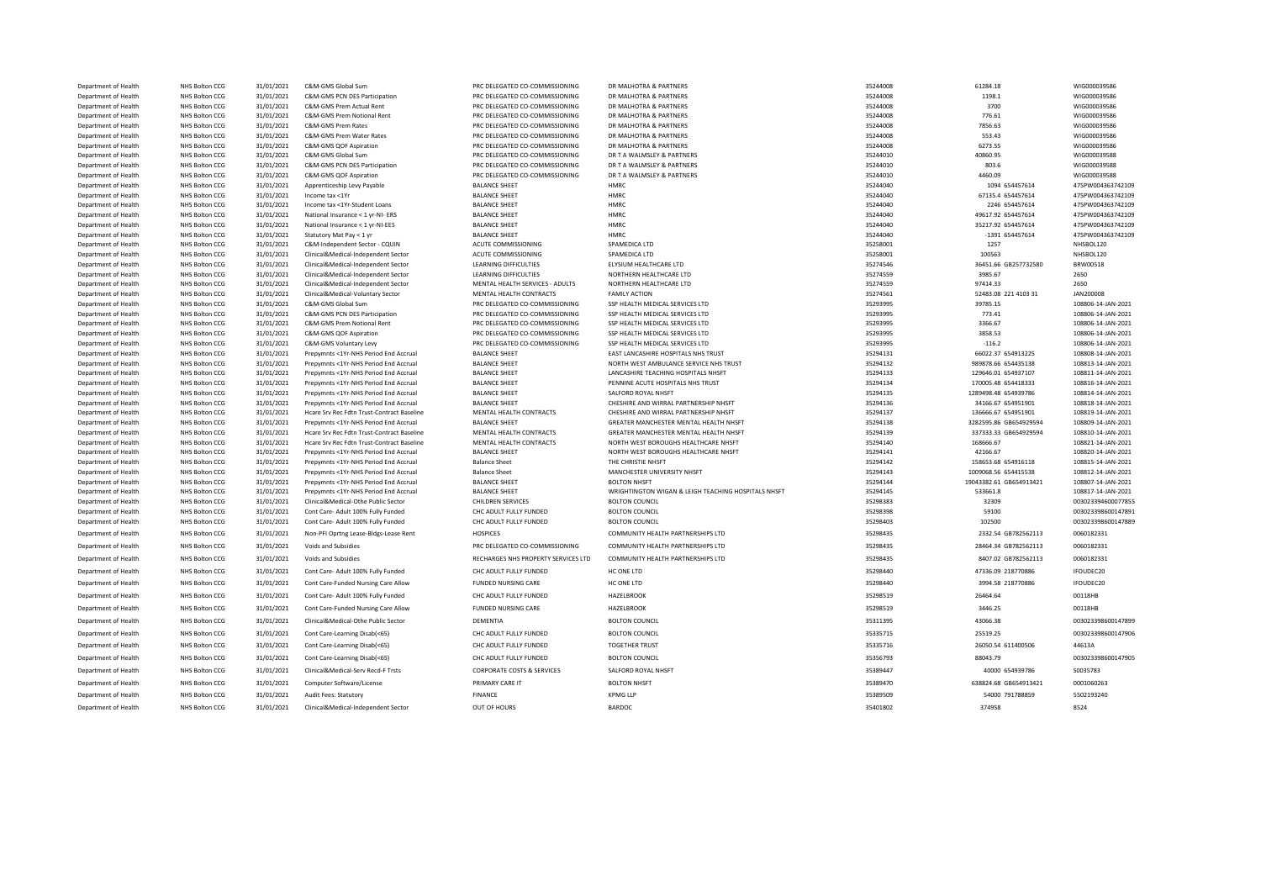| Department of Health | NHS Bolton CCG        | 31/01/2021 | C&M-GMS Global Sum                         | PRC DELEGATED CO-COMMISSIONING        | DR MALHOTRA & PARTNERS                              | 35244008 | 61284.18                | WIG000039586       |
|----------------------|-----------------------|------------|--------------------------------------------|---------------------------------------|-----------------------------------------------------|----------|-------------------------|--------------------|
| Department of Health | NHS Bolton CCG        | 31/01/2021 | C&M-GMS PCN DES Participation              | PRC DELEGATED CO-COMMISSIONING        | DR MALHOTRA & PARTNERS                              | 35244008 | 1198.1                  | WIG000039586       |
| Department of Health | <b>NHS Bolton CCG</b> | 31/01/2021 | C&M-GMS Prem Actual Rent                   | PRC DELEGATED CO-COMMISSIONING        | DR MALHOTRA & PARTNERS                              | 35244008 | 3700                    | WIG000039586       |
| Department of Health | NHS Bolton CCG        | 31/01/2021 | C&M-GMS Prem Notional Rent                 | PRC DELEGATED CO-COMMISSIONING        | DR MALHOTRA & PARTNERS                              | 35244008 | 776.61                  | WIG000039586       |
| Department of Health | NHS Bolton CCG        | 31/01/2021 | C&M-GMS Prem Rates                         | PRC DELEGATED CO-COMMISSIONING        | DR MALHOTRA & PARTNERS                              | 35244008 | 7856.63                 | WIG000039586       |
| Department of Health | NHS Bolton CCG        | 31/01/2021 | C&M-GMS Prem Water Rates                   | PRC DELEGATED CO-COMMISSIONING        | DR MALHOTRA & PARTNERS                              | 35244008 | 553.43                  | WIG000039586       |
| Department of Health | NHS Bolton CCG        | 31/01/2021 | C&M-GMS QOF Aspiration                     | PRC DELEGATED CO-COMMISSIONING        | DR MALHOTRA & PARTNERS                              | 35244008 | 6273.55                 | WIG000039586       |
| Department of Health | NHS Bolton CCG        | 31/01/2021 | C&M-GMS Global Sum                         | PRC DELEGATED CO-COMMISSIONING        | DR T A WALMSLEY & PARTNERS                          | 35244010 | 40860.95                | WIG000039588       |
| Department of Health | NHS Bolton CCG        | 31/01/2021 | C&M-GMS PCN DES Participation              | PRC DELEGATED CO-COMMISSIONING        | DR T A WALMSLEY & PARTNERS                          | 35244010 | 803.6                   | WIG000039588       |
| Department of Health | <b>NHS Bolton CCG</b> | 31/01/2021 | C&M-GMS QOF Aspiration                     | PRC DELEGATED CO-COMMISSIONING        | DR T A WALMSLEY & PARTNERS                          | 35244010 | 4460.09                 | WIG000039588       |
| Department of Health | NHS Bolton CCG        | 31/01/2021 | Apprenticeship Levy Payable                | <b>BALANCE SHEET</b>                  | HMRC                                                | 35244040 | 1094 654457614          | 475PW004363742109  |
| Department of Health | NHS Bolton CCG        | 31/01/2021 | Income tax <1Yr                            | <b>BALANCE SHEET</b>                  | <b>HMRC</b>                                         | 35244040 | 67135.4 654457614       | 475PW004363742109  |
| Department of Health | NHS Bolton CCG        | 31/01/2021 | Income tax <1Yr-Student Loans              | <b>BALANCE SHEET</b>                  | HMRC                                                | 35244040 | 2246 654457614          | 475PW004363742109  |
| Department of Health | NHS Bolton CCG        | 31/01/2021 | National Insurance < 1 yr-NI- ERS          | <b>BALANCE SHEET</b>                  | HMRC                                                | 35244040 | 49617.92 654457614      | 475PW004363742109  |
| Department of Health | NHS Bolton CCG        | 31/01/2021 | National Insurance < 1 yr-NI-EES           | <b>BALANCE SHEET</b>                  | HMRC                                                | 35244040 | 35217.92 654457614      | 475PW004363742109  |
| Department of Health | NHS Bolton CCG        | 31/01/2021 | Statutory Mat Pay < 1 yr                   | <b>BALANCE SHEET</b>                  | HMRC                                                | 35244040 | -1391 654457614         | 475PW004363742109  |
| Department of Health | NHS Bolton CCG        | 31/01/2021 | C&M-Independent Sector - CQUIN             | ACUTE COMMISSIONING                   | SPAMEDICA LTD                                       | 35258001 | 1257                    | NHSBOL120          |
| Department of Health | NHS Bolton CCG        | 31/01/2021 | Clinical&Medical-Independent Sector        | ACUTE COMMISSIONING                   | SPAMEDICA LTD                                       | 35258001 | 100563                  | NHSBOL120          |
| Department of Health | NHS Bolton CCG        | 31/01/2021 | Clinical&Medical-Independent Sector        | LEARNING DIFFICULTIES                 | ELYSIUM HEALTHCARE LTD                              | 35274546 | 36451.66 GB257732580    | BRW00518           |
| Department of Health | NHS Bolton CCG        | 31/01/2021 | Clinical&Medical-Independent Sector        | <b>LEARNING DIFFICULTIES</b>          | NORTHERN HEALTHCARE LTD                             | 35274559 | 3985.67                 | 2650               |
| Department of Health | NHS Bolton CCG        | 31/01/2021 | Clinical&Medical-Independent Sector        | MENTAL HEALTH SERVICES - ADULTS       | NORTHERN HEALTHCARE LTD                             | 35274559 | 97414.33                | 2650               |
| Department of Health | NHS Bolton CCG        | 31/01/2021 | Clinical&Medical-Voluntary Sector          | MENTAL HEALTH CONTRACTS               | <b>FAMILY ACTION</b>                                | 35274561 | 52483.08 221 4103 31    | JAN200008          |
| Department of Health | NHS Bolton CCG        | 31/01/2021 | C&M-GMS Global Sum                         | PRC DELEGATED CO-COMMISSIONING        | SSP HEALTH MEDICAL SERVICES LTD                     | 35293995 | 39785.15                | 108806-14-JAN-2021 |
| Department of Health | NHS Bolton CCG        | 31/01/2021 | C&M-GMS PCN DES Participation              | PRC DELEGATED CO-COMMISSIONING        | SSP HEALTH MEDICAL SERVICES LTD                     | 35293995 | 773.41                  | 108806-14-JAN-2021 |
| Department of Health | NHS Bolton CCG        | 31/01/2021 | C&M-GMS Prem Notional Rent                 | PRC DELEGATED CO-COMMISSIONING        | SSP HEALTH MEDICAL SERVICES LTD                     | 35293995 | 3366.67                 | 108806-14-JAN-2021 |
| Department of Health | NHS Bolton CCG        | 31/01/2021 | C&M-GMS QOF Aspiration                     | PRC DELEGATED CO-COMMISSIONING        | SSP HEALTH MEDICAL SERVICES LTD                     | 35293995 | 3858.53                 | 108806-14-JAN-2021 |
| Department of Health | NHS Bolton CCG        | 31/01/2021 | C&M-GMS Voluntary Levy                     | PRC DELEGATED CO-COMMISSIONING        | SSP HEALTH MEDICAL SERVICES LTD                     | 35293995 | $-116.2$                | 108806-14-JAN-2021 |
| Department of Health | NHS Bolton CCG        | 31/01/2021 | Prepymnts <1Yr-NHS Period End Accrual      | <b>BALANCE SHEET</b>                  | EAST LANCASHIRE HOSPITALS NHS TRUST                 | 35294131 | 66022.37 654913225      | 108808-14-JAN-2021 |
| Department of Health | NHS Bolton CCG        | 31/01/2021 | Prepymnts <1Yr-NHS Period End Accrual      | <b>BALANCE SHEET</b>                  | NORTH WEST AMBULANCE SERVICE NHS TRUST              | 35294132 | 989878.66 654435138     | 108813-14-JAN-2021 |
| Department of Health | NHS Bolton CCG        | 31/01/2021 | Prepymnts <1Yr-NHS Period End Accrual      | <b>BALANCE SHEET</b>                  | LANCASHIRE TEACHING HOSPITALS NHSFT                 | 35294133 | 129646.01 654937107     | 108811-14-JAN-2021 |
| Department of Health | NHS Bolton CCG        | 31/01/2021 | Prepymnts <1Yr-NHS Period End Accrual      | <b>BALANCE SHEET</b>                  | PENNINE ACUTE HOSPITALS NHS TRUST                   | 35294134 | 170005.48 654418333     | 108816-14-JAN-2021 |
| Department of Health | NHS Bolton CCG        | 31/01/2021 | Prepymnts <1Yr-NHS Period End Accrual      | <b>BALANCE SHEET</b>                  | SALFORD ROYAL NHSFT                                 | 35294135 | 1289498.48 654939786    | 108814-14-JAN-2021 |
| Department of Health | NHS Bolton CCG        | 31/01/2021 | Prepymnts <1Yr-NHS Period End Accrual      | <b>BALANCE SHEET</b>                  | CHESHIRE AND WIRRAL PARTNERSHIP NHSFT               | 35294136 | 34166.67 654951901      | 108818-14-JAN-2021 |
| Department of Health | NHS Bolton CCG        | 31/01/2021 | Hcare Srv Rec Fdtn Trust-Contract Baseline | MENTAL HEALTH CONTRACTS               | CHESHIRE AND WIRRAL PARTNERSHIP NHSFT               | 35294137 | 136666.67 654951901     | 108819-14-JAN-2021 |
| Department of Health | NHS Bolton CCG        | 31/01/2021 | Prepymnts <1Yr-NHS Period End Accrual      | <b>BALANCE SHEET</b>                  | GREATER MANCHESTER MENTAL HEALTH NHSFT              | 35294138 | 3282595.86 GB654929594  | 108809-14-JAN-2021 |
| Department of Health | NHS Bolton CCG        | 31/01/2021 | Hcare Srv Rec Fdtn Trust-Contract Baseline | MENTAL HEALTH CONTRACTS               | GREATER MANCHESTER MENTAL HEALTH NHSFT              | 35294139 | 337333.33 GB654929594   | 108810-14-JAN-2021 |
| Department of Health | NHS Bolton CCG        | 31/01/2021 | Hcare Srv Rec Fdtn Trust-Contract Baseline | MENTAL HEALTH CONTRACTS               | NORTH WEST BOROUGHS HEALTHCARE NHSFT                | 35294140 | 168666.67               | 108821-14-JAN-2021 |
| Department of Health | NHS Bolton CCG        | 31/01/2021 | Prepymnts <1Yr-NHS Period End Accrual      | <b>BALANCE SHEET</b>                  | NORTH WEST BOROUGHS HEALTHCARE NHSFT                | 35294141 | 42166.67                | 108820-14-JAN-2021 |
| Department of Health | NHS Bolton CCG        | 31/01/2021 | Prepymnts <1Yr-NHS Period End Accrual      | <b>Balance Sheet</b>                  | THE CHRISTIE NHSFT                                  | 35294142 | 158653.68 654916118     | 108815-14-JAN-2021 |
| Department of Health | NHS Bolton CCG        | 31/01/2021 | Prepymnts <1Yr-NHS Period End Accrual      | <b>Balance Sheet</b>                  | MANCHESTER UNIVERSITY NHSFT                         | 35294143 | 1009068.56 654415538    | 108812-14-JAN-2021 |
| Department of Health | NHS Bolton CCG        | 31/01/2021 | Prepymnts <1Yr-NHS Period End Accrual      | <b>BALANCE SHEET</b>                  | <b>BOLTON NHSFT</b>                                 | 35294144 | 19043382.61 GB654913421 | 108807-14-JAN-2021 |
| Department of Health | NHS Bolton CCG        | 31/01/2021 | Prepymnts <1Yr-NHS Period End Accrual      | <b>BALANCE SHEET</b>                  | WRIGHTINGTON WIGAN & LEIGH TEACHING HOSPITALS NHSFT | 35294145 | 533661.8                | 108817-14-JAN-2021 |
| Department of Health | NHS Bolton CCG        | 31/01/2021 | Clinical&Medical-Othe Public Sector        | CHILDREN SERVICES                     | <b>BOLTON COUNCIL</b>                               | 35298383 | 32309                   | 003023394600077855 |
| Department of Health | NHS Bolton CCG        | 31/01/2021 | Cont Care- Adult 100% Fully Funded         | CHC ADULT FULLY FUNDED                | <b>BOLTON COUNCIL</b>                               | 35298398 | 59100                   | 003023398600147891 |
| Department of Health | NHS Bolton CCG        | 31/01/2021 | Cont Care- Adult 100% Fully Funded         | CHC ADULT FULLY FUNDED                | <b>BOLTON COUNCIL</b>                               | 35298403 | 102500                  | 003023398600147889 |
| Department of Health | NHS Bolton CCG        | 31/01/2021 | Non-PFI Oprtng Lease-Bldgs-Lease Rent      | <b>HOSPICES</b>                       | COMMUNITY HEALTH PARTNERSHIPS LTD                   | 35298435 | 2332.54 GB782562113     | 0060182331         |
| Department of Health | NHS Bolton CCG        | 31/01/2021 | Voids and Subsidies                        | PRC DELEGATED CO-COMMISSIONING        | COMMUNITY HEALTH PARTNERSHIPS LTD                   | 35298435 | 28464.34 GB782562113    | 0060182331         |
| Department of Health | NHS Bolton CCG        | 31/01/2021 | Voids and Subsidies                        | RECHARGES NHS PROPERTY SERVICES LTD   | COMMUNITY HEALTH PARTNERSHIPS LTD                   | 35298435 | 8407.02 GB782562113     | 0060182331         |
|                      |                       |            |                                            |                                       |                                                     |          |                         |                    |
| Department of Health | NHS Bolton CCG        | 31/01/2021 | Cont Care- Adult 100% Fully Funded         | CHC ADULT FULLY FUNDED                | HC ONE LTD                                          | 35298440 | 47336.09 218770886      | IFOUDEC20          |
| Department of Health | NHS Bolton CCG        | 31/01/2021 | Cont Care-Funded Nursing Care Allow        | <b>FUNDED NURSING CARE</b>            | HC ONE LTD                                          | 35298440 | 3994.58 218770886       | IFOUDEC20          |
| Department of Health | NHS Bolton CCG        | 31/01/2021 | Cont Care- Adult 100% Fully Funded         | CHC ADULT FULLY FUNDED                | HAZELBROOK                                          | 35298519 | 26464.64                | 00118HB            |
| Department of Health | NHS Bolton CCG        | 31/01/2021 | Cont Care-Funded Nursing Care Allow        | <b>FUNDED NURSING CARE</b>            | HAZELBROOK                                          | 35298519 | 3446.25                 | 00118HB            |
| Department of Health | NHS Bolton CCG        | 31/01/2021 | Clinical&Medical-Othe Public Sector        | DEMENTIA                              | <b>BOLTON COUNCIL</b>                               | 35311395 | 43066.38                | 003023398600147899 |
| Department of Health | NHS Bolton CCG        | 31/01/2021 | Cont Care-Learning Disab(<65)              | CHC ADULT FULLY FUNDED                | <b>BOLTON COUNCIL</b>                               | 35335715 | 25519.25                | 003023398600147906 |
| Department of Health | NHS Bolton CCG        | 31/01/2021 | Cont Care-Learning Disab(<65)              | CHC ADULT FULLY FUNDED                | <b>TOGETHER TRUST</b>                               | 35335716 | 26050.54 611400506      | 44613A             |
| Department of Health | NHS Bolton CCG        | 31/01/2021 | Cont Care-Learning Disab(<65)              | CHC ADULT FULLY FUNDED                | <b>BOLTON COUNCIL</b>                               | 35356793 | 88043.79                | 003023398600147905 |
| Department of Health | NHS Bolton CCG        | 31/01/2021 | Clinical&Medical-Serv Recd-F Trsts         | <b>CORPORATE COSTS &amp; SERVICES</b> | SALFORD ROYAL NHSFT                                 | 35389447 | 40000 654939786         | S0035783           |
| Department of Health | NHS Bolton CCG        | 31/01/2021 | Computer Software/License                  | PRIMARY CARE IT                       | <b>BOLTON NHSFT</b>                                 | 35389470 | 638824.68 GB654913421   | 0001060263         |
| Department of Health | NHS Bolton CCG        | 31/01/2021 | Audit Fees: Statutory                      | <b>FINANCE</b>                        | <b>KPMG LLP</b>                                     | 35389509 | 54000 791788859         | 5502193240         |
|                      |                       |            |                                            |                                       |                                                     |          |                         |                    |
| Department of Health | NHS Bolton CCG        | 31/01/2021 | Clinical&Medical-Independent Sector        | OUT OF HOURS                          | BARDOC                                              | 35401802 | 374958                  | 8524               |